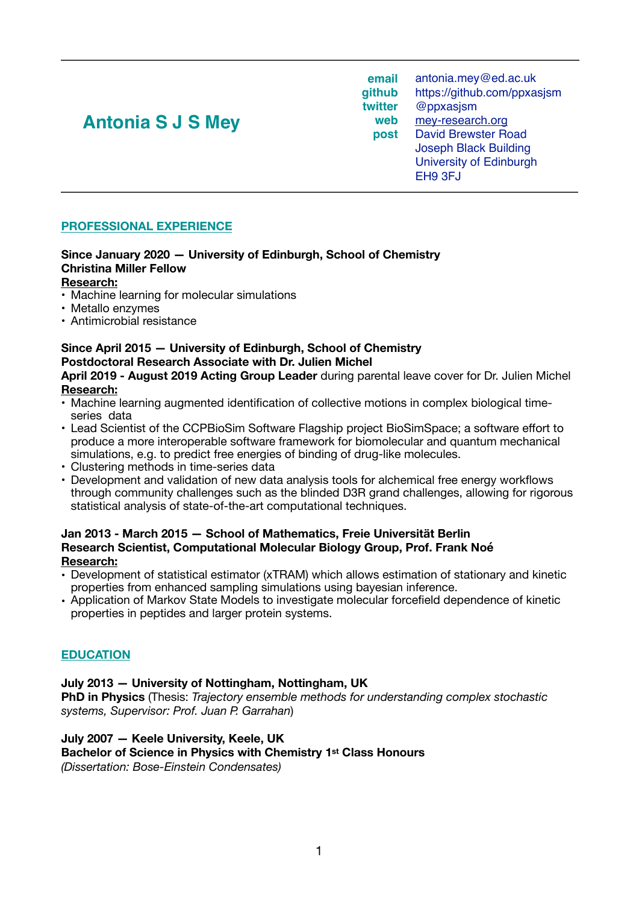# **Antonia S J S Mey** web post

**email github twitter web** [antonia.mey@ed.ac.uk](mailto:antonia.mey@ed.ac.uk) <https://github.com/ppxasjsm> @ppxasjsm [mey-research.org](http://mey-research.org) David Brewster Road Joseph Black Building University of Edinburgh EH9 3FJ

## **PROFESSIONAL EXPERIENCE**

# **Since January 2020 — University of Edinburgh, School of Chemistry Christina Miller Fellow**

#### **Research:**

- Machine learning for molecular simulations
- Metallo enzymes
- Antimicrobial resistance

## **Since April 2015 — University of Edinburgh, School of Chemistry Postdoctoral Research Associate with Dr. Julien Michel**

**April 2019 - August 2019 Acting Group Leader** during parental leave cover for Dr. Julien Michel **Research:** 

- Machine learning augmented identification of collective motions in complex biological timeseries data
- Lead Scientist of the CCPBioSim Software Flagship project BioSimSpace; a software effort to produce a more interoperable software framework for biomolecular and quantum mechanical simulations, e.g. to predict free energies of binding of drug-like molecules.
- Clustering methods in time-series data
- Development and validation of new data analysis tools for alchemical free energy workflows through community challenges such as the blinded D3R grand challenges, allowing for rigorous statistical analysis of state-of-the-art computational techniques.

#### **Jan 2013 - March 2015 — School of Mathematics, Freie Universität Berlin Research Scientist, Computational Molecular Biology Group, Prof. Frank Noé Research:**

- Development of statistical estimator (xTRAM) which allows estimation of stationary and kinetic properties from enhanced sampling simulations using bayesian inference.
- Application of Markov State Models to investigate molecular forcefield dependence of kinetic properties in peptides and larger protein systems.

#### **EDUCATION**

#### **July 2013 — University of Nottingham, Nottingham, UK**

**PhD in Physics** (Thesis: *Trajectory ensemble methods for understanding complex stochastic systems, Supervisor: Prof. Juan P. Garrahan*)

#### **July 2007 — Keele University, Keele, UK**

#### **Bachelor of Science in Physics with Chemistry 1st Class Honours**

*(Dissertation: Bose-Einstein Condensates)*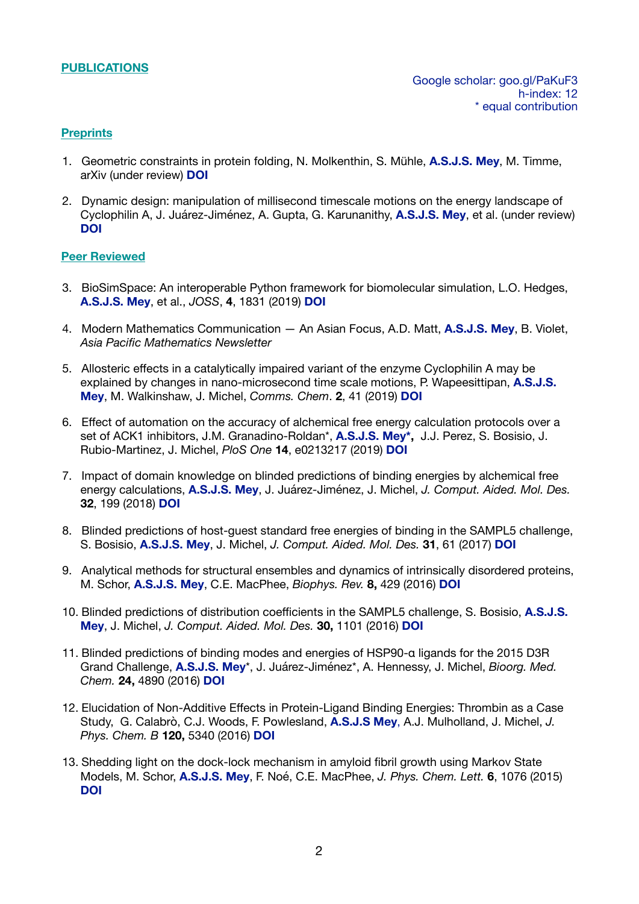#### **PUBLICATIONS**

#### **Preprints**

- 1. Geometric constraints in protein folding, N. Molkenthin, S. Mühle, **A.S.J.S. Mey**, M. Timme, arXiv (under review) **[DOI](https://arxiv.org/abs/1812.09692)**
- 2. Dynamic design: manipulation of millisecond timescale motions on the energy landscape of Cyclophilin A, J. Juárez-Jiménez, A. Gupta, G. Karunanithy, **A.S.J.S. Mey**, et al. (under review) **[DOI](doi:10.1101/490987)**

#### **Peer Reviewed**

- 3. BioSimSpace: An interoperable Python framework for biomolecular simulation, L.O. Hedges, **A.S.J.S. Mey**, et al., *JOSS*, **4**, 1831 (2019) **[DOI](https://doi.org/10.21105/joss.01831)**
- 4. Modern Mathematics Communication An Asian Focus, A.D. Matt, **A.S.J.S. Mey**, B. Violet, *Asia Pacific Mathematics Newsletter*
- 5. Allosteric effects in a catalytically impaired variant of the enzyme Cyclophilin A may be explained by changes in nano-microsecond time scale motions, P. Wapeesittipan, **A.S.J.S. Mey**, M. Walkinshaw, J. Michel, *Comms. Chem*. **2**, 41 (2019) **[DOI](https://doi.org/10.1038/s42004-019-0136-1)**
- 6. Effect of automation on the accuracy of alchemical free energy calculation protocols over a set of ACK1 inhibitors, J.M. Granadino-Roldan\*, **A.S.J.S. Mey\*,** J.J. Perez, S. Bosisio, J. Rubio-Martinez, J. Michel, *PloS One* **14**, e0213217 (2019) **[DOI](https://doi.org/10.1371/journal.pone.0213217)**
- 7. Impact of domain knowledge on blinded predictions of binding energies by alchemical free energy calculations, **A.S.J.S. Mey**, J. Juárez-Jiménez, J. Michel, *J. Comput. Aided. Mol. Des.* **32**, 199 (2018) **[DOI](https://doi.org/10.1007/s10822-017-0083-9)**
- 8. Blinded predictions of host-guest standard free energies of binding in the SAMPL5 challenge, S. Bosisio, **A.S.J.S. Mey**, J. Michel, *J. Comput. Aided. Mol. Des.* **31**, 61 (2017) **[DOI](http://dx.doi.org/10.1007/s10822-016-9933-0)**
- 9. Analytical methods for structural ensembles and dynamics of intrinsically disordered proteins, M. Schor, **A.S.J.S. Mey**, C.E. MacPhee, *Biophys. Rev.* **8,** 429 (2016) **[DOI](http://dx.doi.org/10.1007/s12551-016-0234-6)**
- 10. Blinded predictions of distribution coefficients in the SAMPL5 challenge, S. Bosisio, **A.S.J.S. Mey**, J. Michel, *J. Comput. Aided. Mol. Des.* **30,** 1101 (2016) **[DOI](http://dx.doi.org/10.1007/s10822-016-9969-1)**
- 11. Blinded predictions of binding modes and energies of HSP90-α ligands for the 2015 D3R Grand Challenge, **A.S.J.S. Mey**\*, J. Juárez-Jiménez\*, A. Hennessy, J. Michel, *Bioorg. Med. Chem.* **24,** 4890 (2016) **[DOI](http://dx.doi.org/10.1016/j.bmc.2016.07.044)**
- 12. Elucidation of Non-Additive Effects in Protein-Ligand Binding Energies: Thrombin as a Case Study, G. Calabrò, C.J. Woods, F. Powlesland, **A.S.J.S Mey**, A.J. Mulholland, J. Michel, *J. Phys. Chem. B* **120,** 5340 (2016) **[DOI](http://dx.doi.org/10.1021/acs.jpcb.6b03296)**
- 13. Shedding light on the dock-lock mechanism in amyloid fibril growth using Markov State Models, M. Schor, **A.S.J.S. Mey**, F. Noé, C.E. MacPhee, *J. Phys. Chem. Lett.* **6**, 1076 (2015) **[DOI](http://dx.doi.org/10.1021/acs.jpclett.5b00330)**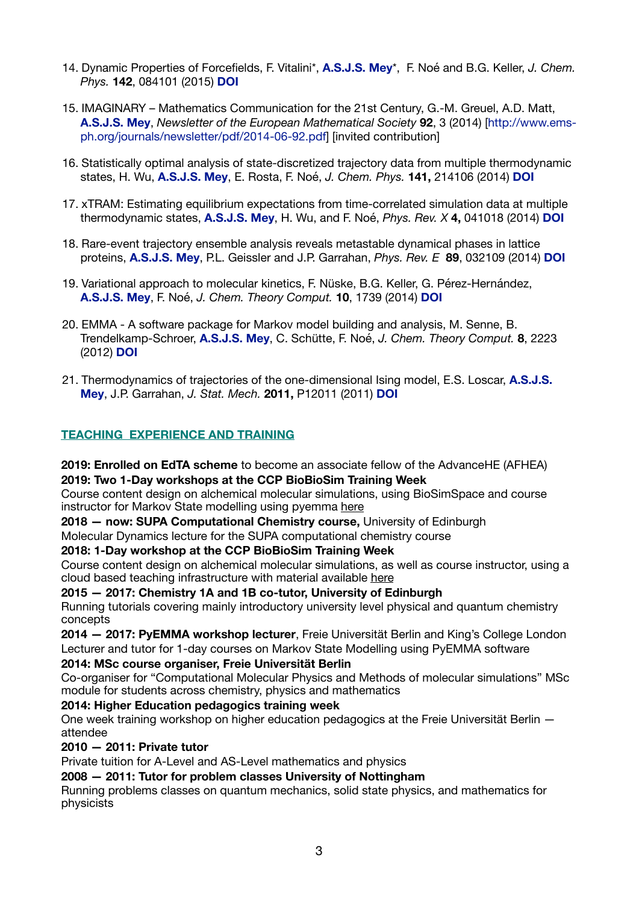- 14. Dynamic Properties of Forcefields, F. Vitalini\*, **A.S.J.S. Mey**\*, F. Noé and B.G. Keller, *J. Chem. Phys.* **142**, 084101 (2015) **[DOI](http://dx.doi.org/10.1063/1.4909549)**
- 15. IMAGINARY Mathematics Communication for the 21st Century, G.-M. Greuel, A.D. Matt, **A.S.J.S. Mey**, *Newsletter of the European Mathematical Society* **92**, 3 (2014) [\[http://www.ems](http://www.ems-ph.org/journals/newsletter/pdf/2014-06-92.pdf)[ph.org/journals/newsletter/pdf/2014-06-92.pdf\]](http://www.ems-ph.org/journals/newsletter/pdf/2014-06-92.pdf) [invited contribution]
- 16. Statistically optimal analysis of state-discretized trajectory data from multiple thermodynamic states, H. Wu, **A.S.J.S. Mey**, E. Rosta, F. Noé, *J. Chem. Phys.* **141,** 214106 (2014) **[DOI](http://dx.doi.org/10.1063/1.4902240)**
- 17. xTRAM: Estimating equilibrium expectations from time-correlated simulation data at multiple thermodynamic states, **A.S.J.S. Mey**, H. Wu, and F. Noé, *Phys. Rev. X* **4,** 041018 (2014) **[DOI](http://dx.doi.org/10.1103/PhysRevX.4.041018)**
- 18. Rare-event trajectory ensemble analysis reveals metastable dynamical phases in lattice proteins, **A.S.J.S. Mey**, P.L. Geissler and J.P. Garrahan, *Phys. Rev. E* **89**, 032109 (2014) **[DOI](http://dx.doi.org/10.1103/PhysRevE.89.032109)**
- 19. Variational approach to molecular kinetics, F. Nüske, B.G. Keller, G. Pérez-Hernández, **A.S.J.S. Mey**, F. Noé, *J. Chem. Theory Comput.* **10**, 1739 (2014) **[DOI](http://dx.doi.org/10.1021/ct4009156)**
- 20. EMMA A software package for Markov model building and analysis, M. Senne, B. Trendelkamp-Schroer, **A.S.J.S. Mey**, C. Schütte, F. Noé, *J. Chem. Theory Comput.* **8**, 2223 (2012) **[DOI](http://dx.doi.org/10.1021/ct300274u)**
- 21. Thermodynamics of trajectories of the one-dimensional Ising model, E.S. Loscar, **A.S.J.S. Mey**, J.P. Garrahan, *J. Stat. Mech.* **2011,** P12011 (2011) **[DOI](http://dx.doi.org/10.1088/1742-5468/2011/12/P12011)**

## **TEACHING EXPERIENCE AND TRAINING**

**2019: Enrolled on EdTA scheme** to become an associate fellow of the AdvanceHE (AFHEA) **2019: Two 1-Day workshops at the CCP BioBioSim Training Week** 

Course content design on alchemical molecular simulations, using BioSimSpace and course instructor for Markov State modelling using pyemma [here](http://www.ccpbiosim.ac.uk/events/workshop-course-material/eventdetail/120/-/ccpbiosim-training-week-2019)

**2018 — now: SUPA Computational Chemistry course,** University of Edinburgh

Molecular Dynamics lecture for the SUPA computational chemistry course

#### **2018: 1-Day workshop at the CCP BioBioSim Training Week**

Course content design on alchemical molecular simulations, as well as course instructor, using a cloud based teaching infrastructure with material available [here](http://www.ccpbiosim.ac.uk/events/workshop-course-material/eventdetail/110/-/ccpbiosim-training-week)

**2015 — 2017: Chemistry 1A and 1B co-tutor, University of Edinburgh**  Running tutorials covering mainly introductory university level physical and quantum chemistry concepts

**2014 — 2017: PyEMMA workshop lecturer**, Freie Universität Berlin and King's College London Lecturer and tutor for 1-day courses on Markov State Modelling using PyEMMA software

#### **2014: MSc course organiser, Freie Universität Berlin**

Co-organiser for "Computational Molecular Physics and Methods of molecular simulations" MSc module for students across chemistry, physics and mathematics

#### **2014: Higher Education pedagogics training week**

One week training workshop on higher education pedagogics at the Freie Universität Berlin attendee

#### **2010 — 2011: Private tutor**

Private tuition for A-Level and AS-Level mathematics and physics

#### **2008 — 2011: Tutor for problem classes University of Nottingham**

Running problems classes on quantum mechanics, solid state physics, and mathematics for physicists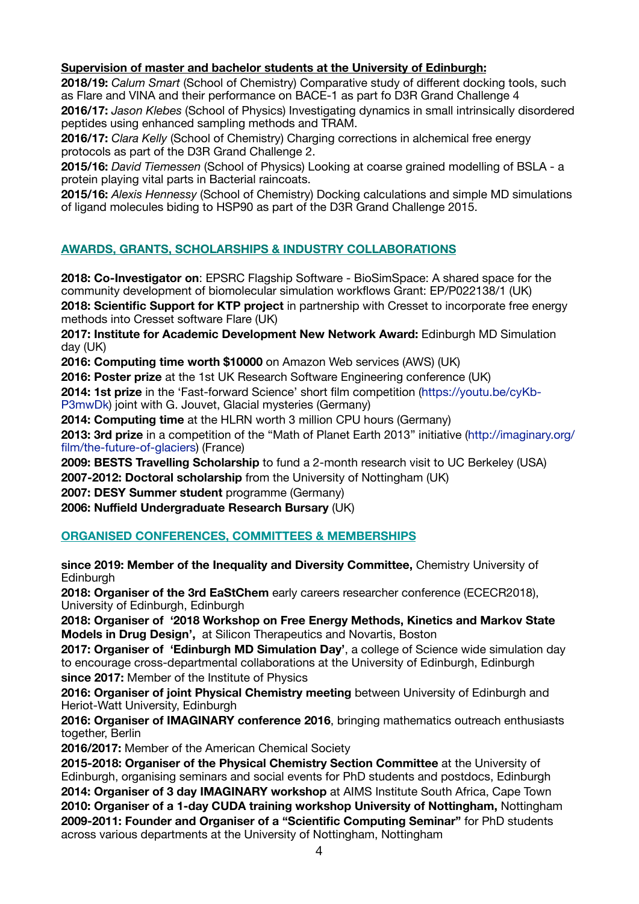## **Supervision of master and bachelor students at the University of Edinburgh:**

**2018/19:** *Calum Smart* (School of Chemistry) Comparative study of different docking tools, such as Flare and VINA and their performance on BACE-1 as part fo D3R Grand Challenge 4

**2016/17:** *Jason Klebes* (School of Physics) Investigating dynamics in small intrinsically disordered peptides using enhanced sampling methods and TRAM.

**2016/17:** *Clara Kelly* (School of Chemistry) Charging corrections in alchemical free energy protocols as part of the D3R Grand Challenge 2.

**2015/16:** *David Tiemessen* (School of Physics) Looking at coarse grained modelling of BSLA - a protein playing vital parts in Bacterial raincoats.

**2015/16:** *Alexis Hennessy* (School of Chemistry) Docking calculations and simple MD simulations of ligand molecules biding to HSP90 as part of the D3R Grand Challenge 2015.

## **AWARDS, GRANTS, SCHOLARSHIPS & INDUSTRY COLLABORATIONS**

**2018: Co-Investigator on**: EPSRC Flagship Software - BioSimSpace: A shared space for the community development of biomolecular simulation workflows Grant: EP/P022138/1 (UK) **2018: Scientific Support for KTP project** in partnership with Cresset to incorporate free energy methods into Cresset software Flare (UK)

**2017: Institute for Academic Development New Network Award:** Edinburgh MD Simulation day (UK)

**2016: Computing time worth \$10000** on Amazon Web services (AWS) (UK)

**2016: Poster prize** at the 1st UK Research Software Engineering conference (UK)

**2014: 1st prize** in the 'Fast-forward Science' short film competition ([https://youtu.be/cyKb-](https://youtu.be/cyKb-P3mwDk)

[P3mwDk](https://youtu.be/cyKb-P3mwDk)) joint with G. Jouvet, Glacial mysteries (Germany)

**2014: Computing time** at the HLRN worth 3 million CPU hours (Germany)

**2013: 3rd prize** in a competition of the "Math of Planet Earth 2013" initiative [\(http://imaginary.org/](http://imaginary.org/film/the-future-of-glaciers) [film/the-future-of-glaciers](http://imaginary.org/film/the-future-of-glaciers)) (France)

**2009: BESTS Travelling Scholarship** to fund a 2-month research visit to UC Berkeley (USA) **2007-2012: Doctoral scholarship** from the University of Nottingham (UK)

**2007: DESY Summer student** programme (Germany)

**2006: Nuffield Undergraduate Research Bursary** (UK)

## **ORGANISED CONFERENCES, COMMITTEES & MEMBERSHIPS**

**since 2019: Member of the Inequality and Diversity Committee,** Chemistry University of **Edinburgh** 

**2018: Organiser of the 3rd EaStChem** early careers researcher conference (ECECR2018), University of Edinburgh, Edinburgh

**2018: Organiser of '2018 Workshop on Free Energy Methods, Kinetics and Markov State Models in Drug Design',** at Silicon Therapeutics and Novartis, Boston

**2017: Organiser of 'Edinburgh MD Simulation Day'**, a college of Science wide simulation day to encourage cross-departmental collaborations at the University of Edinburgh, Edinburgh **since 2017:** Member of the Institute of Physics

**2016: Organiser of joint Physical Chemistry meeting** between University of Edinburgh and Heriot-Watt University, Edinburgh

**2016: Organiser of IMAGINARY conference 2016**, bringing mathematics outreach enthusiasts together, Berlin

**2016/2017:** Member of the American Chemical Society

**2015-2018: Organiser of the Physical Chemistry Section Committee** at the University of Edinburgh, organising seminars and social events for PhD students and postdocs, Edinburgh **2014: Organiser of 3 day IMAGINARY workshop** at AIMS Institute South Africa, Cape Town **2010: Organiser of a 1-day CUDA training workshop University of Nottingham,** Nottingham **2009-2011: Founder and Organiser of a "Scientific Computing Seminar"** for PhD students across various departments at the University of Nottingham, Nottingham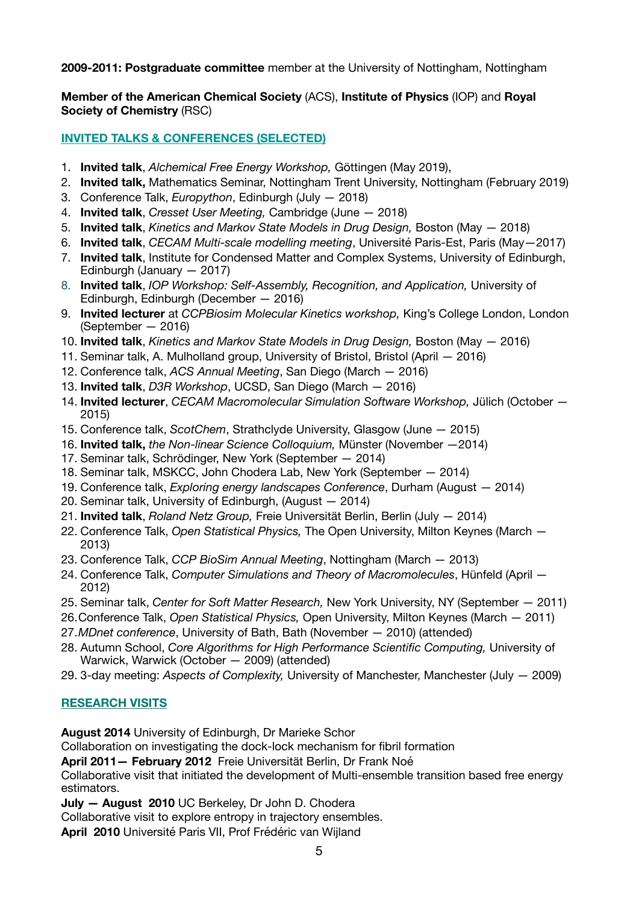**2009-2011: Postgraduate committee** member at the University of Nottingham, Nottingham

**Member of the American Chemical Society** (ACS), **Institute of Physics** (IOP) and **Royal Society of Chemistry** (RSC)

**INVITED TALKS & CONFERENCES (SELECTED)** 

- 1. **Invited talk**, *Alchemical Free Energy Workshop,* Göttingen (May 2019),
- 2. **Invited talk,** Mathematics Seminar, Nottingham Trent University, Nottingham (February 2019)
- 3. Conference Talk, *Europython*, Edinburgh (July 2018)
- 4. **Invited talk**, *Cresset User Meeting,* Cambridge (June 2018)
- 5. **Invited talk**, *Kinetics and Markov State Models in Drug Design,* Boston (May 2018)
- 6. **Invited talk**, *CECAM Multi-scale modelling meeting*, Université Paris-Est, Paris (May—2017)
- 7. **Invited talk**, Institute for Condensed Matter and Complex Systems, University of Edinburgh, Edinburgh (January — 2017)
- 8. **Invited talk**, *IOP Workshop: Self-Assembly, Recognition, and Application,* University of Edinburgh, Edinburgh (December — 2016)
- 9. **Invited lecturer** at *CCPBiosim Molecular Kinetics workshop,* King's College London, London (September — 2016)
- 10. **Invited talk**, *Kinetics and Markov State Models in Drug Design,* Boston (May 2016)
- 11. Seminar talk, A. Mulholland group, University of Bristol, Bristol (April 2016)
- 12. Conference talk, *ACS Annual Meeting*, San Diego (March 2016)
- 13. **Invited talk**, *D3R Workshop*, UCSD, San Diego (March 2016)
- 14. **Invited lecturer**, *CECAM Macromolecular Simulation Software Workshop,* Jülich (October 2015)
- 15. Conference talk, *ScotChem*, Strathclyde University, Glasgow (June 2015)
- 16. **Invited talk,** *the Non-linear Science Colloquium,* Münster (November —2014)
- 17. Seminar talk, Schrödinger, New York (September 2014)
- 18. Seminar talk, MSKCC, John Chodera Lab, New York (September 2014)
- 19. Conference talk, *Exploring energy landscapes Conference*, Durham (August 2014)
- 20. Seminar talk, University of Edinburgh, (August 2014)
- 21. **Invited talk**, *Roland Netz Group,* Freie Universität Berlin, Berlin (July 2014)
- 22. Conference Talk, *Open Statistical Physics,* The Open University, Milton Keynes (March 2013)
- 23. Conference Talk, *CCP BioSim Annual Meeting*, Nottingham (March 2013)
- 24. Conference Talk, *Computer Simulations and Theory of Macromolecules*, Hünfeld (April 2012)
- 25. Seminar talk, *Center for Soft Matter Research,* New York University, NY (September 2011)
- 26.Conference Talk, *Open Statistical Physics,* Open University, Milton Keynes (March 2011)
- 27.*MDnet conference*, University of Bath, Bath (November 2010) (attended)
- 28. Autumn School, *Core Algorithms for High Performance Scientific Computing,* University of Warwick, Warwick (October — 2009) (attended)
- 29. 3-day meeting: *Aspects of Complexity,* University of Manchester, Manchester (July 2009)

## **RESEARCH VISITS**

**August 2014** University of Edinburgh, Dr Marieke Schor

Collaboration on investigating the dock-lock mechanism for fibril formation

**April 2011— February 2012** Freie Universität Berlin, Dr Frank Noé

Collaborative visit that initiated the development of Multi-ensemble transition based free energy estimators.

**July — August 2010** UC Berkeley, Dr John D. Chodera

Collaborative visit to explore entropy in trajectory ensembles.

**April 2010** Université Paris VII, Prof Frédéric van Wijland